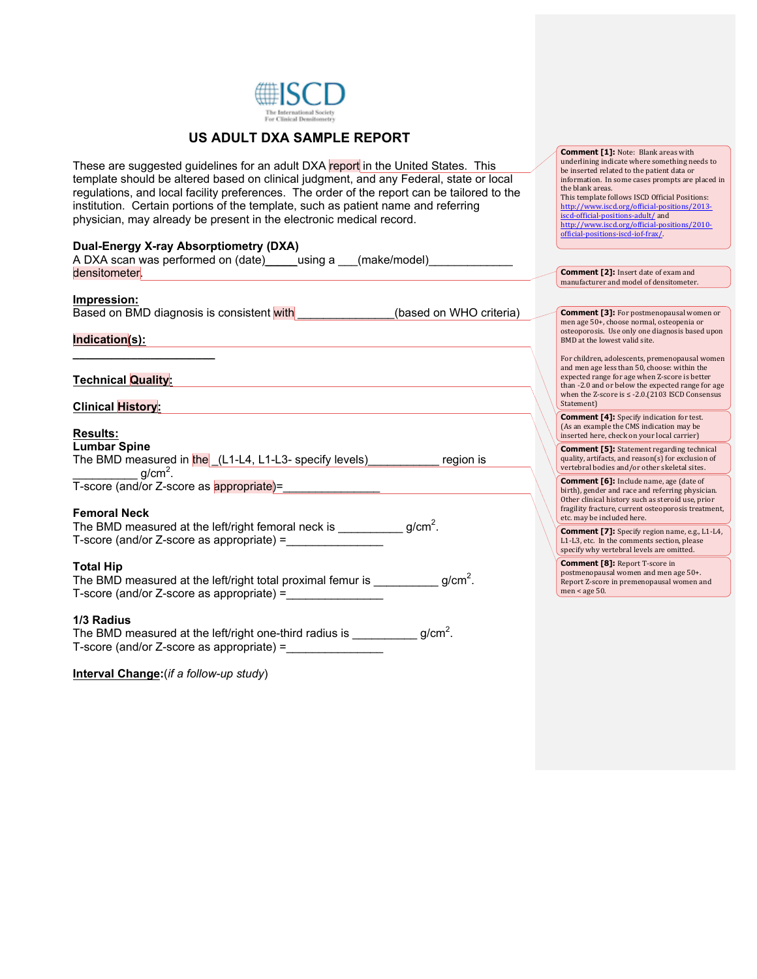

## **US ADULT DXA SAMPLE REPORT**

These are suggested guidelines for an adult DXA report in the United States. This template should be altered based on clinical judgment, and any Federal, state or local regulations, and local facility preferences. The order of the report can be tailored to the institution. Certain portions of the template, such as patient name and referring physician, may already be present in the electronic medical record.

## **Dual-Energy X-ray Absorptiometry (DXA)**

A DXA scan was performed on (date)*\_\_\_\_\_*using a \_\_\_(make/model)\_\_\_\_\_\_\_\_\_\_\_\_\_ densitometer.

### **Impression:**

Based on BMD diagnosis is consistent with **Example 2018** (based on WHO criteria)

## **Indication(s):**

**Technical Quality:**

**\_\_\_\_\_\_\_\_\_\_\_\_\_\_\_\_\_\_\_\_\_\_**

**Clinical History:**

### **Results:**

**Lumbar Spine** The BMD measured in the \_(L1-L4, L1-L3- specify levels)\_\_\_\_\_\_\_\_\_\_\_\_ region is  $g/cm<sup>2</sup>$ . T-score (and/or Z-score as appropriate)=\_\_\_\_\_\_\_\_\_\_\_\_\_\_\_

### **Femoral Neck**

| The BMD measured at the left/right femoral neck is | $q/cm2$ . |
|----------------------------------------------------|-----------|
| T-score (and/or Z-score as appropriate) =          |           |

### **Total Hip**

| The BMD measured at the left/right total proximal femur is | $g/cm2$ . |
|------------------------------------------------------------|-----------|
| T-score (and/or Z-score as appropriate) =                  |           |

## **1/3 Radius**

| The BMD measured at the left/right one-third radius is | $g/cm2$ . |
|--------------------------------------------------------|-----------|
| T-score (and/or Z-score as appropriate) =              |           |

**Interval Change:**(*if a follow-up study*)

| <b>Comment [1]: Note: Blank areas with</b>       |
|--------------------------------------------------|
| underlining indicate where something needs to    |
| be inserted related to the patient data or       |
| information. In some cases prompts are placed in |
| the blank areas.                                 |
| This template follows ISCD Official Positions:   |
| http://www.iscd.org/official-positions/2013-     |
| iscd-official-positions-adult/and                |
| http://www.iscd.org/official-positions/2010-     |
| official-positions-iscd-iof-frax/.               |

#### **Comment [2]:** Insert date of exam and manufacturer and model of densitometer.

| <b>Comment [3]:</b> For postmenopausal women or |
|-------------------------------------------------|
| men age 50+, choose normal, osteopenia or       |
| osteoporosis. Use only one diagnosis based upon |
| BMD at the lowest valid site.                   |

For children, adolescents, premenopausal women and men age less than 50, choose: within the expected range for age when Z-score is better than -2.0 and or below the expected range for age when the Z-score is  $\leq$  -2.0.(2103 ISCD Consensus Statement) 

**Comment [4]:** Specify indication for test. (As an example the CMS indication may be inserted here, check on your local carrier)

**Comment [5]:** Statement regarding technical quality, artifacts, and reason(s) for exclusion of vertebral bodies and/or other skeletal sites.

**Comment [6]:** Include name, age (date of birth), gender and race and referring physician. Other clinical history such as steroid use, prior fragility fracture, current osteoporosis treatment, etc. may be included here.

**Comment [7]:** Specify region name, e.g., L1-L4, L1-L3, etc. In the comments section, please specify why vertebral levels are omitted.

**Comment [8]: Report T-score in** postmenopausal women and men age 50+. Report Z-score in premenopausal women and  $men < age 50$ .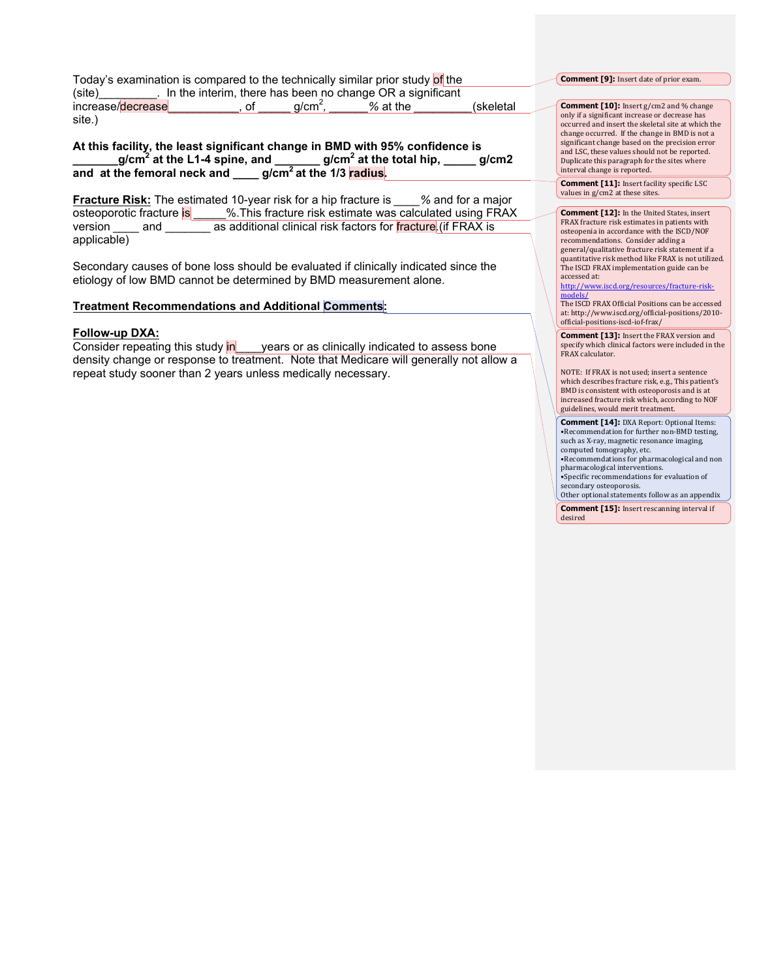|                   |      |                     | Today's examination is compared to the technically similar prior study of the |           |
|-------------------|------|---------------------|-------------------------------------------------------------------------------|-----------|
| (site)            |      |                     | . In the interim, there has been no change OR a significant                   |           |
| increase/decrease | . of | g/cm <sup>2</sup> , | $\%$ at the                                                                   | (skeletal |
| site.)            |      |                     |                                                                               |           |

**At this facility, the least significant change in BMD with 95% confidence is \_\_\_\_\_\_\_g/cm2 at the L1-4 spine, and \_\_\_\_\_\_\_ g/cm2 at the total hip, \_\_\_\_\_ g/cm2 and at the femoral neck and \_\_\_\_ g/cm2 at the 1/3 radius.**

**Fracture Risk:** The estimated 10-year risk for a hip fracture is *\_\_\_\_%* and for a major osteoporotic fracture is **b** 2%. This fracture risk estimate was calculated using FRAX version **\_\_\_\_** and \_\_\_\_\_\_\_ as additional clinical risk factors for **fracture**.(if FRAX is applicable)

Secondary causes of bone loss should be evaluated if clinically indicated since the etiology of low BMD cannot be determined by BMD measurement alone.

### **Treatment Recommendations and Additional Comments:**

### **Follow-up DXA:**

Consider repeating this study in vears or as clinically indicated to assess bone density change or response to treatment. Note that Medicare will generally not allow a repeat study sooner than 2 years unless medically necessary.

### **Comment [9]:** Insert date of prior exam.

**Comment [10]:** Insert g/cm2 and % change only if a significant increase or decrease has occurred and insert the skeletal site at which the change occurred. If the change in BMD is not a  ${\rm significant}$  change based on the precision error and LSC, these values should not be reported. Duplicate this paragraph for the sites where interval change is reported.

**Comment [11]:** Insert facility specific LSC values in  $g/cm2$  at these sites.

**Comment [12]:** In the United States, insert FRAX fracture risk estimates in patients with osteopenia in accordance with the ISCD/NOF recommendations. Consider adding a general/qualitative fracture risk statement if a<br>quantitative risk method like FRAX is not utilized.<br>The ISCD FRAX implementation guide can be accessed at: 

http://www.iscd.org/resources/fracture-riskmodels/

The ISCD FRAX Official Positions can be accessed at: http://www.iscd.org/official-positions/2010official-positions-iscd-iof-frax/

**Comment [13]:** Insert the FRAX version and specify which clinical factors were included in the FRAX calculator.

NOTE: If FRAX is not used; insert a sentence which describes fracture risk, e.g., This patient's BMD is consistent with osteoporosis and is at increased fracture risk which, according to  $\mathrm{NOF}$ guidelines, would merit treatment.

**Comment [14]:** DXA Report: Optional Items: •Recommendation for further non-BMD testing, such as X-ray, magnetic resonance imaging, computed tomography, etc.

•Recommendations for pharmacological and non pharmacological interventions.<br>•Specific recommendations for evaluation of

secondary osteoporosis.

Other optional statements follow as an appendix **Comment [15]:** Insert rescanning interval if desired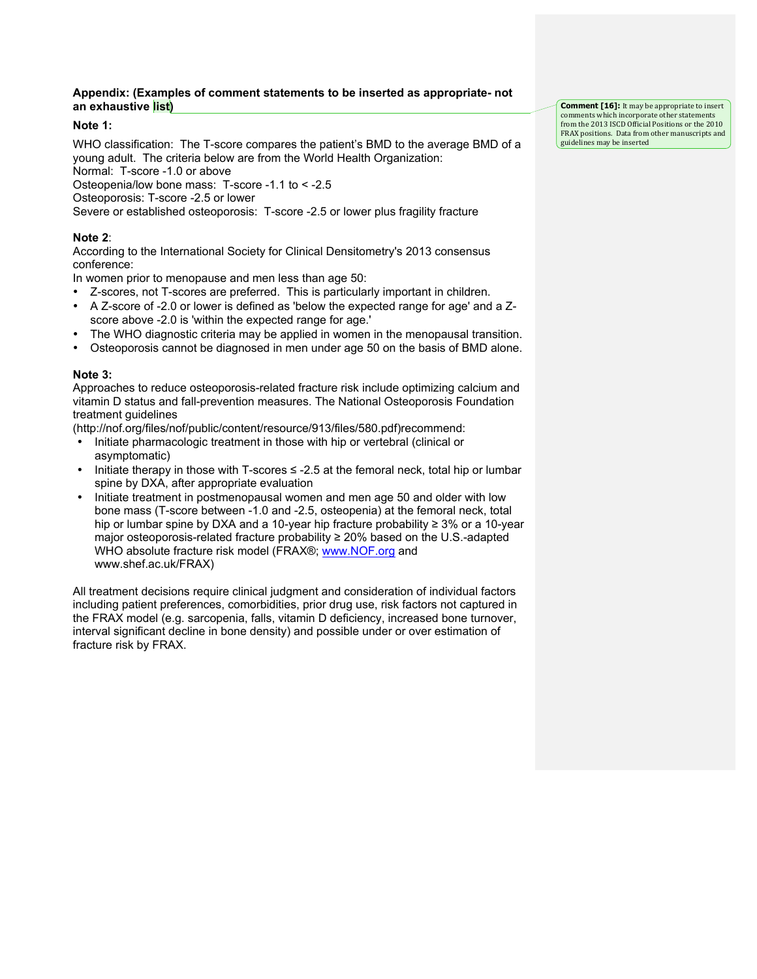## **Appendix: (Examples of comment statements to be inserted as appropriate- not an exhaustive list)**

## **Note 1:**

WHO classification: The T-score compares the patient's BMD to the average BMD of a young adult. The criteria below are from the World Health Organization:

Normal: T-score -1.0 or above

Osteopenia/low bone mass: T-score -1.1 to < -2.5

Osteoporosis: T-score -2.5 or lower

Severe or established osteoporosis: T-score -2.5 or lower plus fragility fracture

# **Note 2**:

According to the International Society for Clinical Densitometry's 2013 consensus conference:

In women prior to menopause and men less than age 50:

- Z-scores, not T-scores are preferred. This is particularly important in children.
- A Z-score of -2.0 or lower is defined as 'below the expected range for age' and a Zscore above -2.0 is 'within the expected range for age.'
- The WHO diagnostic criteria may be applied in women in the menopausal transition.
- Osteoporosis cannot be diagnosed in men under age 50 on the basis of BMD alone.

## **Note 3:**

Approaches to reduce osteoporosis-related fracture risk include optimizing calcium and vitamin D status and fall-prevention measures. The National Osteoporosis Foundation treatment quidelines

(http://nof.org/files/nof/public/content/resource/913/files/580.pdf)recommend:

- Initiate pharmacologic treatment in those with hip or vertebral (clinical or asymptomatic)
- Initiate therapy in those with T-scores  $\leq$  -2.5 at the femoral neck, total hip or lumbar spine by DXA, after appropriate evaluation
- Initiate treatment in postmenopausal women and men age 50 and older with low bone mass (T-score between -1.0 and -2.5, osteopenia) at the femoral neck, total hip or lumbar spine by DXA and a 10-year hip fracture probability ≥ 3% or a 10-year major osteoporosis-related fracture probability ≥ 20% based on the U.S.-adapted WHO absolute fracture risk model (FRAX®; www.NOF.org and www.shef.ac.uk/FRAX)

All treatment decisions require clinical judgment and consideration of individual factors including patient preferences, comorbidities, prior drug use, risk factors not captured in the FRAX model (e.g. sarcopenia, falls, vitamin D deficiency, increased bone turnover, interval significant decline in bone density) and possible under or over estimation of fracture risk by FRAX.

**Comment [16]:** It may be appropriate to insert comments which incorporate other statements from the 2013 ISCD Official Positions or the 2010 FRAX positions. Data from other manuscripts and guidelines may be inserted